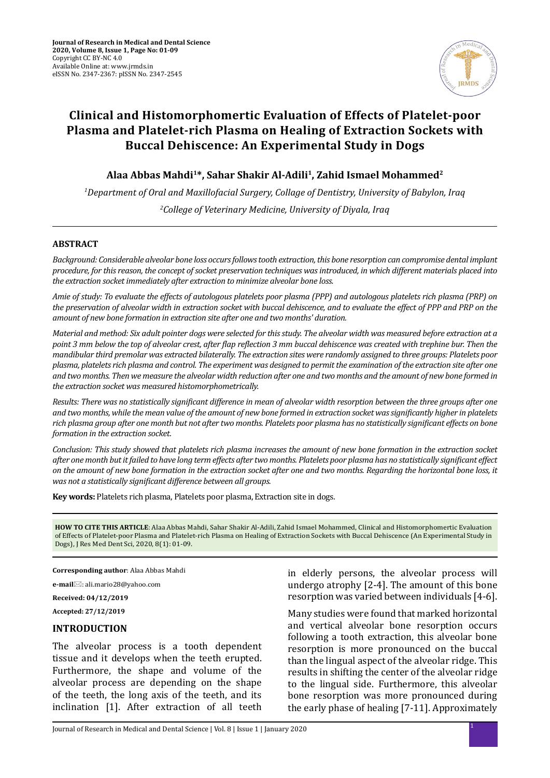

# **Clinical and Histomorphomertic Evaluation of Effects of Platelet-poor Plasma and Platelet-rich Plasma on Healing of Extraction Sockets with Buccal Dehiscence: An Experimental Study in Dogs**

**Alaa Abbas Mahdi1\*, Sahar Shakir Al-Adili1, Zahid Ismael Mohammed2**

*1 Department of Oral and Maxillofacial Surgery, Collage of Dentistry, University of Babylon, Iraq 2 College of Veterinary Medicine, University of Diyala, Iraq*

### **ABSTRACT**

*Background: Considerable alveolar bone loss occurs follows tooth extraction, this bone resorption can compromise dental implant procedure, for this reason, the concept of socket preservation techniques was introduced, in which different materials placed into the extraction socket immediately after extraction to minimize alveolar bone loss.* 

*Amie of study: To evaluate the effects of autologous platelets poor plasma (PPP) and autologous platelets rich plasma (PRP) on the preservation of alveolar width in extraction socket with buccal dehiscence, and to evaluate the effect of PPP and PRP on the amount of new bone formation in extraction site after one and two months' duration.*

*Material and method: Six adult pointer dogs were selected for this study. The alveolar width was measured before extraction at a point 3 mm below the top of alveolar crest, after flap reflection 3 mm buccal dehiscence was created with trephine bur. Then the mandibular third premolar was extracted bilaterally. The extraction sites were randomly assigned to three groups: Platelets poor plasma, platelets rich plasma and control. The experiment was designed to permit the examination of the extraction site after one and two months. Then we measure the alveolar width reduction after one and two months and the amount of new bone formed in the extraction socket was measured histomorphometrically.*

*Results: There was no statistically significant difference in mean of alveolar width resorption between the three groups after one and two months, while the mean value of the amount of new bone formed in extraction socket was significantly higher in platelets rich plasma group after one month but not after two months. Platelets poor plasma has no statistically significant effects on bone formation in the extraction socket.*

*Conclusion: This study showed that platelets rich plasma increases the amount of new bone formation in the extraction socket after one month but it failed to have long term effects after two months. Platelets poor plasma has no statistically significant effect on the amount of new bone formation in the extraction socket after one and two months. Regarding the horizontal bone loss, it was not a statistically significant difference between all groups.*

**Key words:** Platelets rich plasma, Platelets poor plasma, Extraction site in dogs.

**HOW TO CITE THIS ARTICLE**: Alaa Abbas Mahdi, Sahar Shakir Al-Adili, Zahid Ismael Mohammed, Clinical and Histomorphomertic Evaluation of Effects of Platelet-poor Plasma and Platelet-rich Plasma on Healing of Extraction Sockets with Buccal Dehiscence (An Experimental Study in Dogs), J Res Med Dent Sci, 2020, 8(1): 01-09.

**Corresponding author**: Alaa Abbas Mahdi

**e-mail**⊠: ali.mario28@yahoo.com

**Received: 04/12/2019**

**Accepted: 27/12/2019**

### **INTRODUCTION**

The alveolar process is a tooth dependent tissue and it develops when the teeth erupted. Furthermore, the shape and volume of the alveolar process are depending on the shape of the teeth, the long axis of the teeth, and its inclination [1]. After extraction of all teeth in elderly persons, the alveolar process will undergo atrophy [2-4]. The amount of this bone resorption was varied between individuals [4-6].

Many studies were found that marked horizontal and vertical alveolar bone resorption occurs following a tooth extraction, this alveolar bone resorption is more pronounced on the buccal than the lingual aspect of the alveolar ridge. This results in shifting the center of the alveolar ridge to the lingual side. Furthermore, this alveolar bone resorption was more pronounced during the early phase of healing [7-11]. Approximately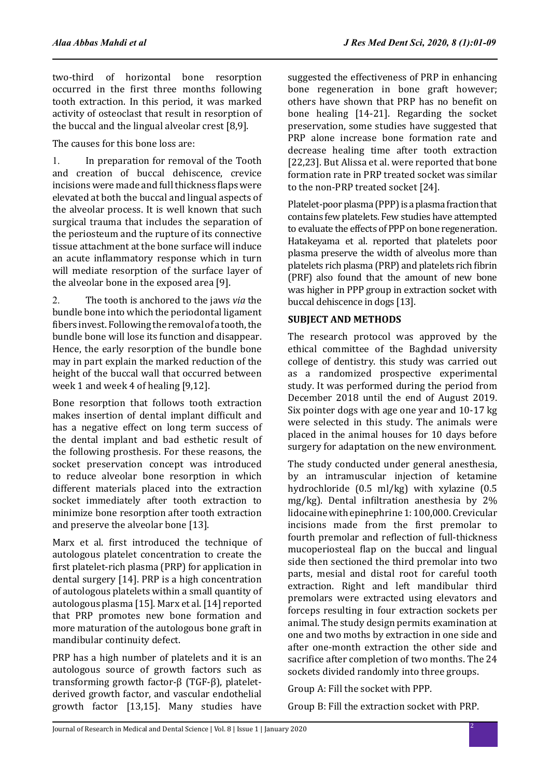two-third of horizontal bone resorption occurred in the first three months following tooth extraction. In this period, it was marked activity of osteoclast that result in resorption of the buccal and the lingual alveolar crest [8,9].

The causes for this bone loss are:

1. In preparation for removal of the Tooth and creation of buccal dehiscence, crevice incisions were made and full thickness flaps were elevated at both the buccal and lingual aspects of the alveolar process. It is well known that such surgical trauma that includes the separation of the periosteum and the rupture of its connective tissue attachment at the bone surface will induce an acute inflammatory response which in turn will mediate resorption of the surface layer of the alveolar bone in the exposed area [9].

2. The tooth is anchored to the jaws *via* the bundle bone into which the periodontal ligament fibers invest. Following the removal of a tooth, the bundle bone will lose its function and disappear. Hence, the early resorption of the bundle bone may in part explain the marked reduction of the height of the buccal wall that occurred between week 1 and week 4 of healing [9,12].

Bone resorption that follows tooth extraction makes insertion of dental implant difficult and has a negative effect on long term success of the dental implant and bad esthetic result of the following prosthesis. For these reasons, the socket preservation concept was introduced to reduce alveolar bone resorption in which different materials placed into the extraction socket immediately after tooth extraction to minimize bone resorption after tooth extraction and preserve the alveolar bone [13].

Marx et al. first introduced the technique of autologous platelet concentration to create the first platelet-rich plasma (PRP) for application in dental surgery [14]. PRP is a high concentration of autologous platelets within a small quantity of autologous plasma [15]. Marx et al. [14] reported that PRP promotes new bone formation and more maturation of the autologous bone graft in mandibular continuity defect.

PRP has a high number of platelets and it is an autologous source of growth factors such as transforming growth factor-β (TGF-β), plateletderived growth factor, and vascular endothelial growth factor [13,15]. Many studies have suggested the effectiveness of PRP in enhancing bone regeneration in bone graft however; others have shown that PRP has no benefit on bone healing [14-21]. Regarding the socket preservation, some studies have suggested that PRP alone increase bone formation rate and decrease healing time after tooth extraction [22,23]. But Alissa et al. were reported that bone formation rate in PRP treated socket was similar to the non-PRP treated socket [24].

Platelet-poor plasma (PPP) is a plasma fraction that contains few platelets. Few studies have attempted to evaluate the effects of PPP on bone regeneration. Hatakeyama et al. reported that platelets poor plasma preserve the width of alveolus more than platelets rich plasma (PRP) and platelets rich fibrin (PRF) also found that the amount of new bone was higher in PPP group in extraction socket with buccal dehiscence in dogs [13].

# **SUBJECT AND METHODS**

The research protocol was approved by the ethical committee of the Baghdad university college of dentistry. this study was carried out as a randomized prospective experimental study. It was performed during the period from December 2018 until the end of August 2019. Six pointer dogs with age one year and 10-17 kg were selected in this study. The animals were placed in the animal houses for 10 days before surgery for adaptation on the new environment.

The study conducted under general anesthesia, by an intramuscular injection of ketamine hydrochloride (0.5 ml/kg) with xylazine (0.5 mg/kg). Dental infiltration anesthesia by 2% lidocaine with epinephrine 1: 100,000. Crevicular incisions made from the first premolar to fourth premolar and reflection of full-thickness mucoperiosteal flap on the buccal and lingual side then sectioned the third premolar into two parts, mesial and distal root for careful tooth extraction. Right and left mandibular third premolars were extracted using elevators and forceps resulting in four extraction sockets per animal. The study design permits examination at one and two moths by extraction in one side and after one-month extraction the other side and sacrifice after completion of two months. The 24 sockets divided randomly into three groups.

Group A: Fill the socket with PPP.

Group B: Fill the extraction socket with PRP.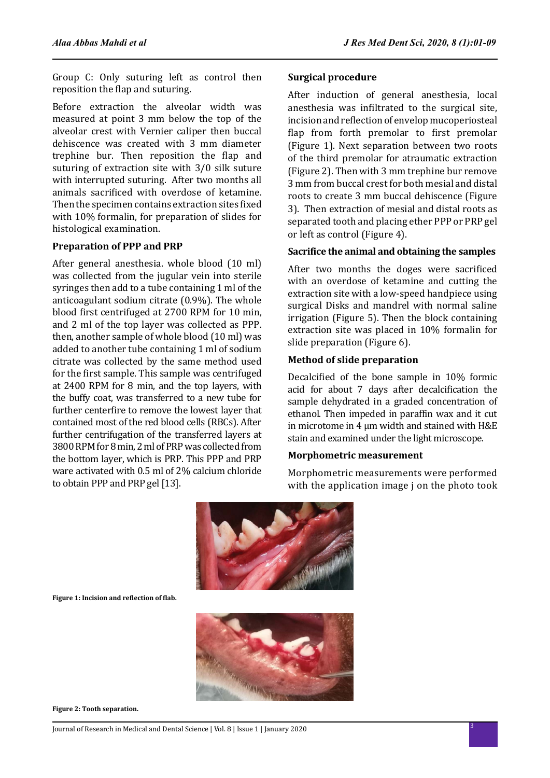Group C: Only suturing left as control then reposition the flap and suturing.

Before extraction the alveolar width was measured at point 3 mm below the top of the alveolar crest with Vernier caliper then buccal dehiscence was created with 3 mm diameter trephine bur. Then reposition the flap and suturing of extraction site with 3/0 silk suture with interrupted suturing. After two months all animals sacrificed with overdose of ketamine. Then the specimen contains extraction sites fixed with 10% formalin, for preparation of slides for histological examination.

### **Preparation of PPP and PRP**

After general anesthesia. whole blood (10 ml) was collected from the jugular vein into sterile syringes then add to a tube containing 1 ml of the anticoagulant sodium citrate (0.9%). The whole blood first centrifuged at 2700 RPM for 10 min, and 2 ml of the top layer was collected as PPP. then, another sample of whole blood (10 ml) was added to another tube containing 1 ml of sodium citrate was collected by the same method used for the first sample. This sample was centrifuged at 2400 RPM for 8 min, and the top layers, with the buffy coat, was transferred to a new tube for further centerfire to remove the lowest layer that contained most of the red blood cells (RBCs). After further centrifugation of the transferred layers at 3800 RPM for 8 min, 2 ml of PRP was collected from the bottom layer, which is PRP. This PPP and PRP ware activated with 0.5 ml of 2% calcium chloride to obtain PPP and PRP gel [13].

### **Surgical procedure**

After induction of general anesthesia, local anesthesia was infiltrated to the surgical site, incision and reflection of envelop mucoperiosteal flap from forth premolar to first premolar (Figure 1). Next separation between two roots of the third premolar for atraumatic extraction (Figure 2). Then with 3 mm trephine bur remove 3 mm from buccal crest for both mesial and distal roots to create 3 mm buccal dehiscence (Figure 3). Then extraction of mesial and distal roots as separated tooth and placing ether PPP or PRP gel or left as control (Figure 4).

### **Sacrifice the animal and obtaining the samples**

After two months the doges were sacrificed with an overdose of ketamine and cutting the extraction site with a low-speed handpiece using surgical Disks and mandrel with normal saline irrigation (Figure 5). Then the block containing extraction site was placed in 10% formalin for slide preparation (Figure 6).

### **Method of slide preparation**

Decalcified of the bone sample in 10% formic acid for about 7 days after decalcification the sample dehydrated in a graded concentration of ethanol. Then impeded in paraffin wax and it cut in microtome in 4 µm width and stained with H&E stain and examined under the light microscope.

### **Morphometric measurement**

Morphometric measurements were performed with the application image j on the photo took



**Figure 1: Incision and reflection of flab.**



**Figure 2: Tooth separation.**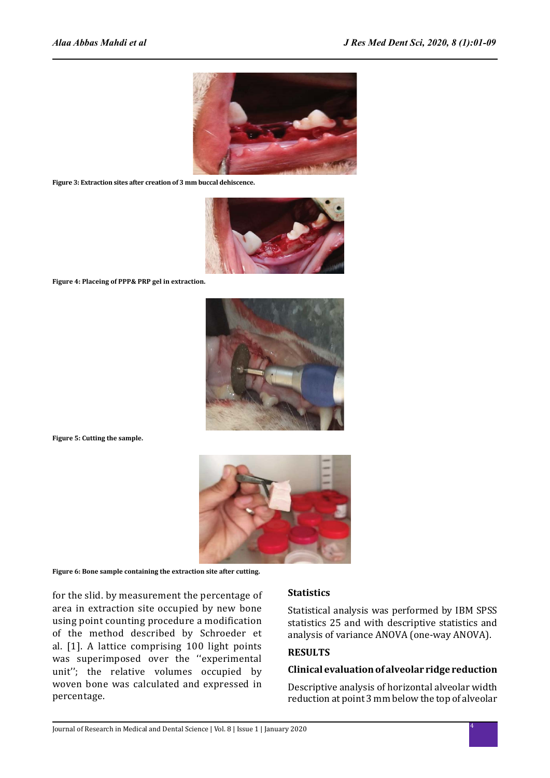

**Figure 3: Extraction sites after creation of 3 mm buccal dehiscence.**



**Figure 4: Placeing of PPP& PRP gel in extraction.**



**Figure 5: Cutting the sample.**



**Figure 6: Bone sample containing the extraction site after cutting.**

for the slid. by measurement the percentage of area in extraction site occupied by new bone using point counting procedure a modification of the method described by Schroeder et al. [1]. A lattice comprising 100 light points was superimposed over the "experimental unit''; the relative volumes occupied by woven bone was calculated and expressed in percentage.

#### **Statistics**

Statistical analysis was performed by IBM SPSS statistics 25 and with descriptive statistics and analysis of variance ANOVA (one-way ANOVA).

## **RESULTS**

### **Clinical evaluation of alveolar ridge reduction**

Descriptive analysis of horizontal alveolar width reduction at point 3 mm below the top of alveolar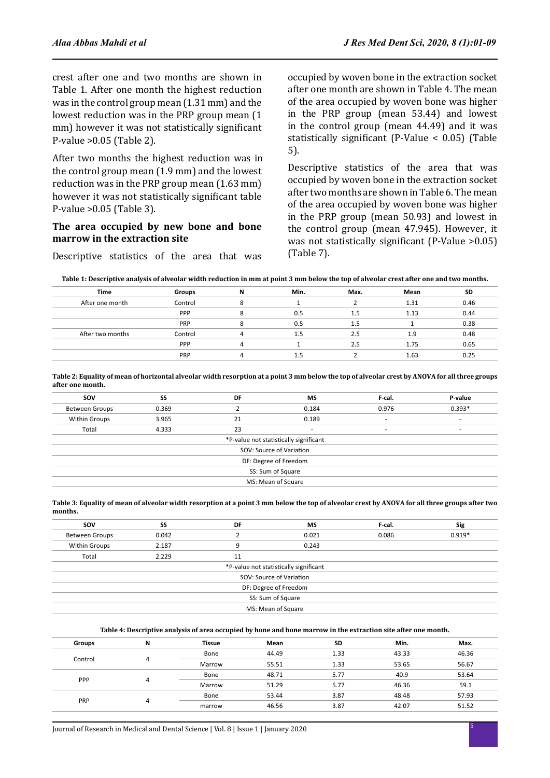crest after one and two months are shown in Table 1. After one month the highest reduction was in the control group mean (1.31 mm) and the lowest reduction was in the PRP group mean (1 mm) however it was not statistically significant P-value >0.05 (Table 2).

After two months the highest reduction was in the control group mean (1.9 mm) and the lowest reduction was in the PRP group mean (1.63 mm) however it was not statistically significant table P-value >0.05 (Table 3).

### **The area occupied by new bone and bone marrow in the extraction site**

Descriptive statistics of the area that was

occupied by woven bone in the extraction socket after one month are shown in Table 4. The mean of the area occupied by woven bone was higher in the PRP group (mean 53.44) and lowest in the control group (mean 44.49) and it was statistically significant (P-Value < 0.05) (Table 5).

Descriptive statistics of the area that was occupied by woven bone in the extraction socket after two months are shown in Table 6. The mean of the area occupied by woven bone was higher in the PRP group (mean 50.93) and lowest in the control group (mean 47.945). However, it was not statistically significant (P-Value >0.05) (Table 7).

| <b>Time</b>      | Groups  | N            | Min. | Max. | Mean | SD   |
|------------------|---------|--------------|------|------|------|------|
| After one month  | Control | 8            |      |      | 1.31 | 0.46 |
|                  | PPP     | o            | 0.5  | 1.5  | 1.13 | 0.44 |
|                  | PRP     | Ջ            | 0.5  | 1.5  |      | 0.38 |
| After two months | Control |              | 1.5  | 2.5  | 1.9  | 0.48 |
|                  | PPP     | 4            |      | 2.5  | 1.75 | 0.65 |
|                  | PRP     | $\mathbf{u}$ | 1.5  |      | 1.63 | 0.25 |
|                  |         |              |      |      |      |      |

**Table 2: Equality of mean of horizontal alveolar width resorption at a point 3 mm below the top of alveolar crest by ANOVA for all three groups after one month.**

| <b>SOV</b>               | SS    | DF | <b>MS</b>                              | F-cal. | P-value                  |  |  |
|--------------------------|-------|----|----------------------------------------|--------|--------------------------|--|--|
| <b>Between Groups</b>    | 0.369 |    | 0.184                                  | 0.976  | $0.393*$                 |  |  |
| <b>Within Groups</b>     | 3.965 | 21 | 0.189                                  | ۰      | $\overline{\phantom{a}}$ |  |  |
| Total                    | 4.333 | 23 |                                        |        | $\overline{\phantom{a}}$ |  |  |
|                          |       |    | *P-value not statistically significant |        |                          |  |  |
| SOV: Source of Variation |       |    |                                        |        |                          |  |  |
|                          |       |    | DF: Degree of Freedom                  |        |                          |  |  |
| SS: Sum of Square        |       |    |                                        |        |                          |  |  |
|                          |       |    | MS: Mean of Square                     |        |                          |  |  |
|                          |       |    |                                        |        |                          |  |  |

**Table 3: Equality of mean of alveolar width resorption at a point 3 mm below the top of alveolar crest by ANOVA for all three groups after two months.**

| sov                                    | SS                 | DF | <b>MS</b> | F-cal. | <b>Sig</b> |  |  |  |  |
|----------------------------------------|--------------------|----|-----------|--------|------------|--|--|--|--|
| <b>Between Groups</b>                  | 0.042              |    | 0.021     | 0.086  | $0.919*$   |  |  |  |  |
| <b>Within Groups</b>                   | 2.187              |    | 0.243     |        |            |  |  |  |  |
| Total                                  | 2.229              | 11 |           |        |            |  |  |  |  |
| *P-value not statistically significant |                    |    |           |        |            |  |  |  |  |
| SOV: Source of Variation               |                    |    |           |        |            |  |  |  |  |
| DF: Degree of Freedom                  |                    |    |           |        |            |  |  |  |  |
| SS: Sum of Square                      |                    |    |           |        |            |  |  |  |  |
|                                        | MS: Mean of Square |    |           |        |            |  |  |  |  |

#### **Table 4: Descriptive analysis of area occupied by bone and bone marrow in the extraction site after one month.**

| Groups  | N      | <b>Tissue</b> | Mean  | <b>SD</b> | Min.  | Max.  |
|---------|--------|---------------|-------|-----------|-------|-------|
| Control |        | Bone          | 44.49 | 1.33      | 43.33 | 46.36 |
|         | Marrow | 55.51         | 1.33  | 53.65     | 56.67 |       |
|         |        | Bone          | 48.71 | 5.77      | 40.9  | 53.64 |
| PPP     |        | Marrow        | 51.29 | 5.77      | 46.36 | 59.1  |
|         | Bone   | 53.44         | 3.87  | 48.48     | 57.93 |       |
| PRP     |        | marrow        | 46.56 | 3.87      | 42.07 | 51.52 |
|         |        |               |       |           |       |       |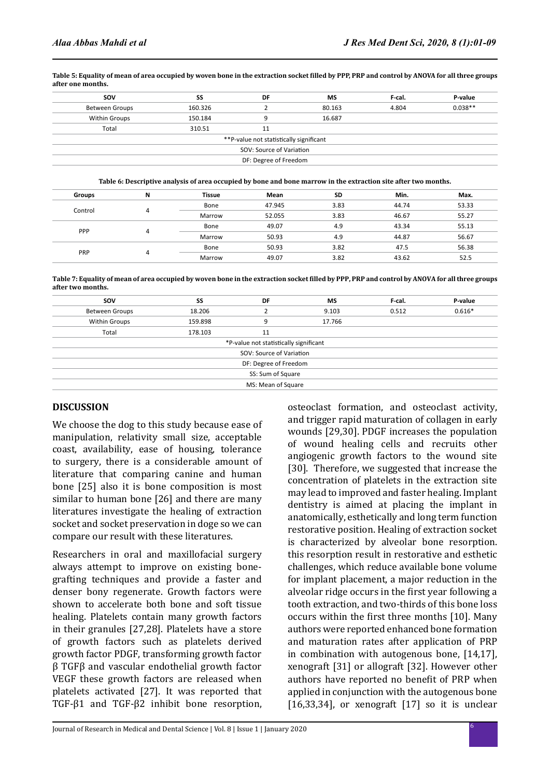| SS<br>160.326<br>150.184 | DF<br>9                                 | МS<br>80.163<br>16.687 | F-cal.<br>4.804                                   | P-value<br>$0.038**$ |
|--------------------------|-----------------------------------------|------------------------|---------------------------------------------------|----------------------|
|                          |                                         |                        |                                                   |                      |
|                          |                                         |                        |                                                   |                      |
|                          |                                         |                        |                                                   |                      |
| 310.51                   | 11                                      |                        |                                                   |                      |
|                          | **P-value not statistically significant |                        |                                                   |                      |
|                          |                                         |                        |                                                   |                      |
|                          |                                         |                        |                                                   |                      |
|                          |                                         |                        | SOV: Source of Variation<br>DF: Degree of Freedom |                      |

**Table 5: Equality of mean of area occupied by woven bone in the extraction socket filled by PPP, PRP and control by ANOVA for all three groups after one months.**

**Table 6: Descriptive analysis of area occupied by bone and bone marrow in the extraction site after two months.**

| <b>Groups</b> | N       | Tissue | Mean   | <b>SD</b> | Min.  | Max.  |
|---------------|---------|--------|--------|-----------|-------|-------|
|               |         | Bone   | 47.945 | 3.83      | 44.74 | 53.33 |
|               | Control | Marrow | 52.055 | 3.83      | 46.67 | 55.27 |
|               |         | Bone   | 49.07  | 4.9       | 43.34 | 55.13 |
| PPP           |         | Marrow | 50.93  | 4.9       | 44.87 | 56.67 |
| PRP           |         | Bone   | 50.93  | 3.82      | 47.5  | 56.38 |
|               |         | Marrow | 49.07  | 3.82      | 43.62 | 52.5  |

**Table 7: Equality of mean of area occupied by woven bone in the extraction socket filled by PPP, PRP and control by ANOVA for all three groups after two months.**

| <b>SOV</b>            | SS      | DF                                     | МS     | F-cal. | P-value  |
|-----------------------|---------|----------------------------------------|--------|--------|----------|
| <b>Between Groups</b> | 18.206  |                                        | 9.103  | 0.512  | $0.616*$ |
| <b>Within Groups</b>  | 159.898 | 9                                      | 17.766 |        |          |
| Total                 | 178.103 | 11                                     |        |        |          |
|                       |         | *P-value not statistically significant |        |        |          |
|                       |         | SOV: Source of Variation               |        |        |          |
|                       |         | DF: Degree of Freedom                  |        |        |          |
|                       |         | SS: Sum of Square                      |        |        |          |
|                       |         | MS: Mean of Square                     |        |        |          |
|                       |         |                                        |        |        |          |

### **DISCUSSION**

We choose the dog to this study because ease of manipulation, relativity small size, acceptable coast, availability, ease of housing, tolerance to surgery, there is a considerable amount of literature that comparing canine and human bone [25] also it is bone composition is most similar to human bone [26] and there are many literatures investigate the healing of extraction socket and socket preservation in doge so we can compare our result with these literatures.

Researchers in oral and maxillofacial surgery always attempt to improve on existing bonegrafting techniques and provide a faster and denser bony regenerate. Growth factors were shown to accelerate both bone and soft tissue healing. Platelets contain many growth factors in their granules [27,28]. Platelets have a store of growth factors such as platelets derived growth factor PDGF, transforming growth factor β TGFβ and vascular endothelial growth factor VEGF these growth factors are released when platelets activated [27]. It was reported that TGF-β1 and TGF-β2 inhibit bone resorption, osteoclast formation, and osteoclast activity, and trigger rapid maturation of collagen in early wounds [29,30]. PDGF increases the population of wound healing cells and recruits other angiogenic growth factors to the wound site [30]. Therefore, we suggested that increase the concentration of platelets in the extraction site may lead to improved and faster healing. Implant dentistry is aimed at placing the implant in anatomically, esthetically and long term function restorative position. Healing of extraction socket is characterized by alveolar bone resorption. this resorption result in restorative and esthetic challenges, which reduce available bone volume for implant placement, a major reduction in the alveolar ridge occurs in the first year following a tooth extraction, and two-thirds of this bone loss occurs within the first three months [10]. Many authors were reported enhanced bone formation and maturation rates after application of PRP in combination with autogenous bone, [14,17], xenograft [31] or allograft [32]. However other authors have reported no benefit of PRP when applied in conjunction with the autogenous bone [16,33,34], or xenograft [17] so it is unclear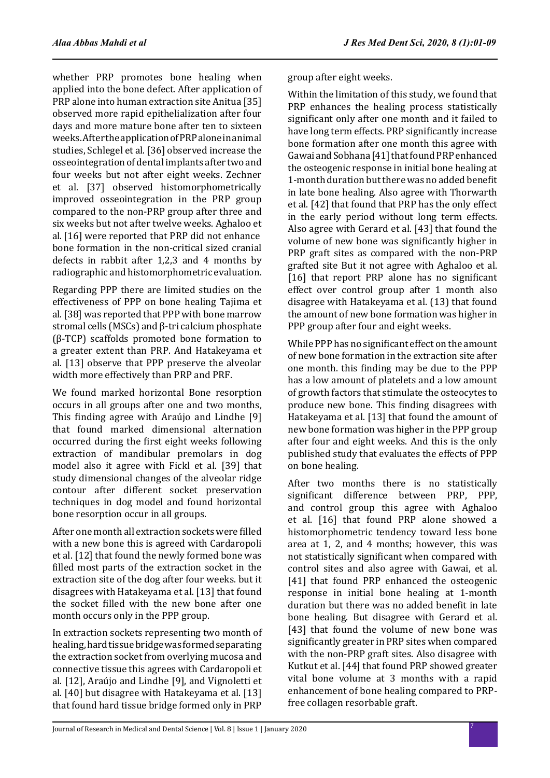whether PRP promotes bone healing when applied into the bone defect. After application of PRP alone into human extraction site Anitua [35] observed more rapid epithelialization after four days and more mature bone after ten to sixteen weeks. After the application of PRP alone in animal studies, Schlegel et al. [36] observed increase the osseointegration of dental implants after two and four weeks but not after eight weeks. Zechner et al. [37] observed histomorphometrically improved osseointegration in the PRP group compared to the non-PRP group after three and six weeks but not after twelve weeks. Aghaloo et al.  $[16]$  were reported that PRP did not enhance bone formation in the non-critical sized cranial defects in rabbit after 1,2,3 and 4 months by radiographic and histomorphometric evaluation.

Regarding PPP there are limited studies on the effectiveness of PPP on bone healing Tajima et al. [38] was reported that PPP with bone marrow stromal cells (MSCs) and β-tri calcium phosphate (β-TCP) scaffolds promoted bone formation to a greater extent than PRP. And Hatakeyama et al. [13] observe that PPP preserve the alveolar width more effectively than PRP and PRF.

We found marked horizontal Bone resorption occurs in all groups after one and two months, This finding agree with Araújo and Lindhe [9] that found marked dimensional alternation occurred during the first eight weeks following extraction of mandibular premolars in dog model also it agree with Fickl et al. [39] that study dimensional changes of the alveolar ridge contour after different socket preservation techniques in dog model and found horizontal bone resorption occur in all groups.

After one month all extraction sockets were filled with a new bone this is agreed with Cardaropoli et al. [12] that found the newly formed bone was filled most parts of the extraction socket in the extraction site of the dog after four weeks. but it disagrees with Hatakeyama et al. [13] that found the socket filled with the new bone after one month occurs only in the PPP group.

In extraction sockets representing two month of healing, hard tissue bridge was formed separating the extraction socket from overlying mucosa and connective tissue this agrees with Cardaropoli et al. [12], Araújo and Lindhe [9], and Vignoletti et al. [40] but disagree with Hatakeyama et al. [13] that found hard tissue bridge formed only in PRP group after eight weeks.

Within the limitation of this study, we found that PRP enhances the healing process statistically significant only after one month and it failed to have long term effects. PRP significantly increase bone formation after one month this agree with Gawai and Sobhana [41] that found PRP enhanced the osteogenic response in initial bone healing at 1-month duration but there was no added benefit in late bone healing. Also agree with Thorwarth et al. [42] that found that PRP has the only effect in the early period without long term effects. Also agree with Gerard et al. [43] that found the volume of new bone was significantly higher in PRP graft sites as compared with the non-PRP grafted site But it not agree with Aghaloo et al. [16] that report PRP alone has no significant effect over control group after 1 month also disagree with Hatakeyama et al. (13) that found the amount of new bone formation was higher in PPP group after four and eight weeks.

While PPP has no significant effect on the amount of new bone formation in the extraction site after one month. this finding may be due to the PPP has a low amount of platelets and a low amount of growth factors that stimulate the osteocytes to produce new bone. This finding disagrees with Hatakeyama et al. [13] that found the amount of new bone formation was higher in the PPP group after four and eight weeks. And this is the only published study that evaluates the effects of PPP on bone healing.

After two months there is no statistically significant difference between PRP, PPP, and control group this agree with Aghaloo et al. [16] that found PRP alone showed a histomorphometric tendency toward less bone area at 1, 2, and 4 months; however, this was not statistically significant when compared with control sites and also agree with Gawai, et al. [41] that found PRP enhanced the osteogenic response in initial bone healing at 1-month duration but there was no added benefit in late bone healing. But disagree with Gerard et al. [43] that found the volume of new bone was significantly greater in PRP sites when compared with the non-PRP graft sites. Also disagree with Kutkut et al. [44] that found PRP showed greater vital bone volume at 3 months with a rapid enhancement of bone healing compared to PRPfree collagen resorbable graft.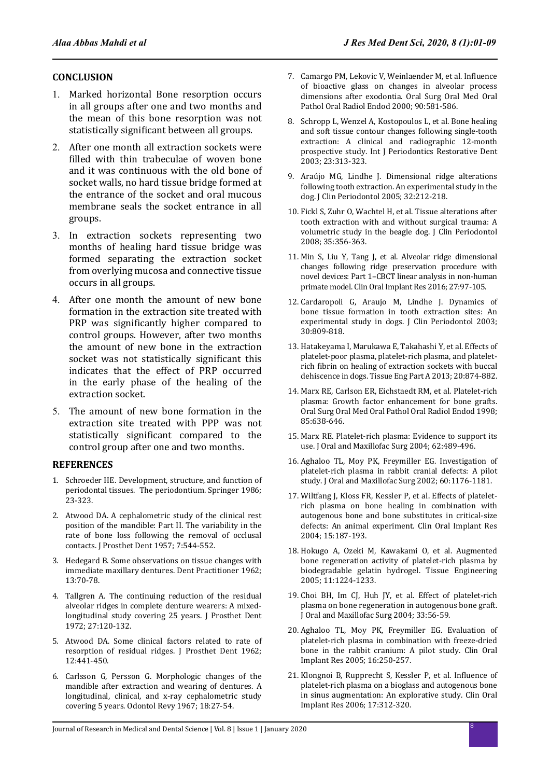### **CONCLUSION**

- 1. Marked horizontal Bone resorption occurs in all groups after one and two months and the mean of this bone resorption was not statistically significant between all groups.
- 2. After one month all extraction sockets were filled with thin trabeculae of woven bone and it was continuous with the old bone of socket walls, no hard tissue bridge formed at the entrance of the socket and oral mucous membrane seals the socket entrance in all groups.
- 3. In extraction sockets representing two months of healing hard tissue bridge was formed separating the extraction socket from overlying mucosa and connective tissue occurs in all groups.
- 4. After one month the amount of new bone formation in the extraction site treated with PRP was significantly higher compared to control groups. However, after two months the amount of new bone in the extraction socket was not statistically significant this indicates that the effect of PRP occurred in the early phase of the healing of the extraction socket.
- 5. The amount of new bone formation in the extraction site treated with PPP was not statistically significant compared to the control group after one and two months.

### **REFERENCES**

- 1. Schroeder HE. Development, structure, and function of periodontal tissues. The periodontium. Springer 1986; 23-323.
- 2. Atwood DA. A cephalometric study of the clinical rest position of the mandible: Part II. The variability in the rate of bone loss following the removal of occlusal contacts. J Prosthet Dent 1957; 7:544-552.
- 3. Hedegard B. Some observations on tissue changes with immediate maxillary dentures. Dent Practitioner 1962; 13:70-78.
- 4. Tallgren A. The continuing reduction of the residual alveolar ridges in complete denture wearers: A mixedlongitudinal study covering 25 years. J Prosthet Dent 1972; 27:120-132.
- 5. Atwood DA. Some clinical factors related to rate of resorption of residual ridges. J Prosthet Dent 1962; 12:441-450.
- 6. Carlsson G, Persson G. Morphologic changes of the mandible after extraction and wearing of dentures. A longitudinal, clinical, and x-ray cephalometric study covering 5 years. Odontol Revy 1967; 18:27-54.
- 7. Camargo PM, Lekovic V, Weinlaender M, et al. Influence of bioactive glass on changes in alveolar process dimensions after exodontia. Oral Surg Oral Med Oral Pathol Oral Radiol Endod 2000; 90:581-586.
- 8. Schropp L, Wenzel A, Kostopoulos L, et al. Bone healing and soft tissue contour changes following single-tooth extraction: A clinical and radiographic 12-month prospective study. Int J Periodontics Restorative Dent 2003; 23:313-323.
- 9. Araújo MG, Lindhe J. Dimensional ridge alterations following tooth extraction. An experimental study in the dog. J Clin Periodontol 2005; 32:212-218.
- 10. Fickl S, Zuhr O, Wachtel H, et al. Tissue alterations after tooth extraction with and without surgical trauma: A volumetric study in the beagle dog. J Clin Periodontol 2008; 35:356-363.
- 11. Min S, Liu Y, Tang J, et al. Alveolar ridge dimensional changes following ridge preservation procedure with novel devices: Part 1–CBCT linear analysis in non-human primate model. Clin Oral Implant Res 2016; 27:97-105.
- 12. Cardaropoli G, Araujo M, Lindhe J. Dynamics of bone tissue formation in tooth extraction sites: An experimental study in dogs. J Clin Periodontol 2003; 30:809-818.
- 13. Hatakeyama I, Marukawa E, Takahashi Y, et al. Effects of platelet-poor plasma, platelet-rich plasma, and plateletrich fibrin on healing of extraction sockets with buccal dehiscence in dogs. Tissue Eng Part A 2013; 20:874-882.
- 14. Marx RE, Carlson ER, Eichstaedt RM, et al. Platelet-rich plasma: Growth factor enhancement for bone grafts. Oral Surg Oral Med Oral Pathol Oral Radiol Endod 1998; 85:638-646.
- 15. Marx RE. Platelet-rich plasma: Evidence to support its use. J Oral and Maxillofac Surg 2004; 62:489-496.
- 16. Aghaloo TL, Moy PK, Freymiller EG. Investigation of platelet-rich plasma in rabbit cranial defects: A pilot study. J Oral and Maxillofac Surg 2002; 60:1176-1181.
- 17. Wiltfang J, Kloss FR, Kessler P, et al. Effects of plateletrich plasma on bone healing in combination with autogenous bone and bone substitutes in critical-size defects: An animal experiment. Clin Oral Implant Res 2004; 15:187-193.
- 18. Hokugo A, Ozeki M, Kawakami O, et al. Augmented bone regeneration activity of platelet-rich plasma by biodegradable gelatin hydrogel. Tissue Engineering 2005; 11:1224-1233.
- 19. Choi BH, Im CJ, Huh JY, et al. Effect of platelet-rich plasma on bone regeneration in autogenous bone graft. J Oral and Maxillofac Surg 2004; 33:56-59.
- 20. Aghaloo TL, Moy PK, Freymiller EG. Evaluation of platelet-rich plasma in combination with freeze-dried bone in the rabbit cranium: A pilot study. Clin Oral Implant Res 2005; 16:250-257.
- 21. Klongnoi B, Rupprecht S, Kessler P, et al. Influence of platelet-rich plasma on a bioglass and autogenous bone in sinus augmentation: An explorative study. Clin Oral Implant Res 2006; 17:312-320.